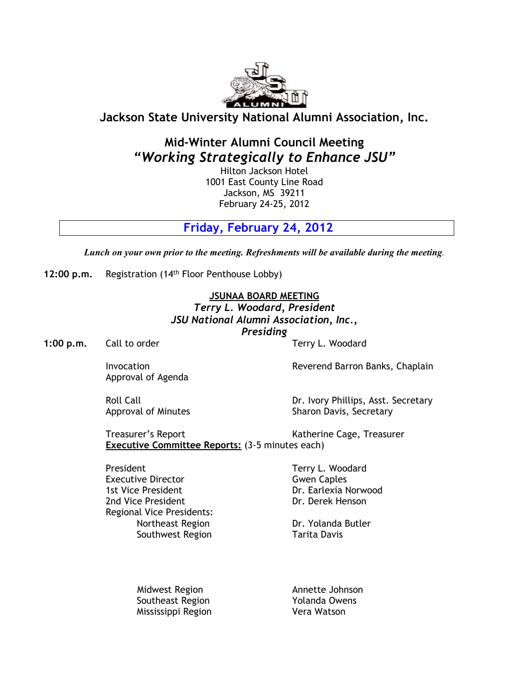

## **Jackson State University National Alumni Association, Inc.**

# **Mid-Winter Alumni Council Meeting** *"Working Strategically to Enhance JSU"*

Hilton Jackson Hotel 1001 East County Line Road Jackson, MS 39211 February 24-25, 2012

**Friday, February 24, 2012**

*Lunch on your own prior to the meeting. Refreshments will be available during the meeting.*

**12:00 p.m.** Registration (14 th Floor Penthouse Lobby)

**JSUNAA BOARD MEETING**

*Terry L. Woodard, President JSU National Alumni Association, Inc., Presiding*

**1:00 p.m.** Call to order Terry L. Woodard

Approval of Agenda

Invocation Reverend Barron Banks, Chaplain

Roll Call Call Dr. Ivory Phillips, Asst. Secretary<br>Approval of Minutes Approval Dr. Ivory Sharon Davis, Secretary Sharon Davis, Secretary

Treasurer's Report Katherine Cage, Treasurer **Executive Committee Reports:** (3-5 minutes each)

President Terry L. Woodard **Executive Director** Gwen Caples 1st Vice President **Dr. Earlexia Norwood** 2nd Vice President **Dr. Derek Henson** Regional Vice Presidents: Southwest Region Tarita Davis

Northeast Region **Dr. Yolanda Butler** 

Midwest Region and Annette Johnson Southeast Region The Muslim Yolanda Owens Mississippi Region Vera Watson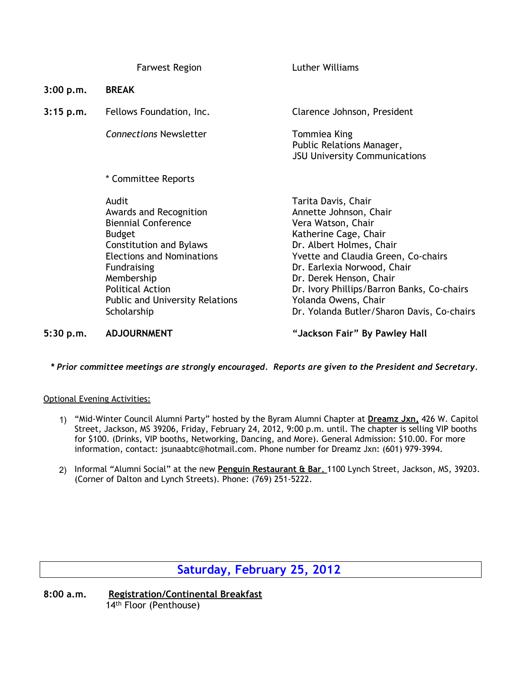|             | <b>Farwest Region</b>                                                                                                                                                                                                                                                        | Luther Williams                                                                                                                                                                                                                                                                                                                               |
|-------------|------------------------------------------------------------------------------------------------------------------------------------------------------------------------------------------------------------------------------------------------------------------------------|-----------------------------------------------------------------------------------------------------------------------------------------------------------------------------------------------------------------------------------------------------------------------------------------------------------------------------------------------|
| 3:00 p.m.   | <b>BREAK</b>                                                                                                                                                                                                                                                                 |                                                                                                                                                                                                                                                                                                                                               |
| $3:15$ p.m. | Fellows Foundation, Inc.                                                                                                                                                                                                                                                     | Clarence Johnson, President                                                                                                                                                                                                                                                                                                                   |
|             | <b>Connections Newsletter</b>                                                                                                                                                                                                                                                | Tommiea King<br>Public Relations Manager,<br><b>JSU University Communications</b>                                                                                                                                                                                                                                                             |
|             | * Committee Reports                                                                                                                                                                                                                                                          |                                                                                                                                                                                                                                                                                                                                               |
|             | Audit<br>Awards and Recognition<br><b>Biennial Conference</b><br><b>Budget</b><br><b>Constitution and Bylaws</b><br><b>Elections and Nominations</b><br><b>Fundraising</b><br>Membership<br><b>Political Action</b><br><b>Public and University Relations</b><br>Scholarship | Tarita Davis, Chair<br>Annette Johnson, Chair<br>Vera Watson, Chair<br>Katherine Cage, Chair<br>Dr. Albert Holmes, Chair<br>Yvette and Claudia Green, Co-chairs<br>Dr. Earlexia Norwood, Chair<br>Dr. Derek Henson, Chair<br>Dr. Ivory Phillips/Barron Banks, Co-chairs<br>Yolanda Owens, Chair<br>Dr. Yolanda Butler/Sharon Davis, Co-chairs |
|             |                                                                                                                                                                                                                                                                              | .                                                                                                                                                                                                                                                                                                                                             |

**5:30 p.m. ADJOURNMENT "Jackson Fair" By Pawley Hall**

### *\* Prior committee meetings are strongly encouraged. Reports are given to the President and Secretary.*

#### Optional Evening Activities:

- 1) "Mid-Winter Council Alumni Party" hosted by the Byram Alumni Chapter at **Dreamz Jxn,** 426 W. Capitol Street, Jackson, MS 39206, Friday, February 24, 2012, 9:00 p.m. until. The chapter is selling VIP booths for \$100. (Drinks, VIP booths, Networking, Dancing, and More). General Admission: \$10.00. For more information, contact: jsunaabtc@hotmail.com. Phone number for Dreamz Jxn: (601) 979-3994.
- 2) Informal "Alumni Social" at the new **Penguin Restaurant & Bar**, 1100 Lynch Street, Jackson, MS, 39203. (Corner of Dalton and Lynch Streets). Phone: (769) 251-5222.

## **Saturday, February 25, 2012**

**8:00 a.m. Registration/Continental Breakfast** 14 th Floor (Penthouse)